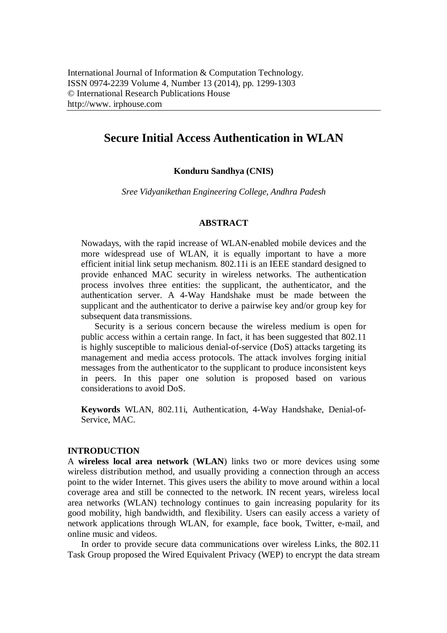# **Secure Initial Access Authentication in WLAN**

# **Konduru Sandhya (CNIS)**

*Sree Vidyanikethan Engineering College, Andhra Padesh*

#### **ABSTRACT**

Nowadays, with the rapid increase of WLAN-enabled mobile devices and the more widespread use of WLAN, it is equally important to have a more efficient initial link setup mechanism. 802.11i is an IEEE standard designed to provide enhanced MAC security in wireless networks. The authentication process involves three entities: the supplicant, the authenticator, and the authentication server. A 4-Way Handshake must be made between the supplicant and the authenticator to derive a pairwise key and/or group key for subsequent data transmissions.

Security is a serious concern because the wireless medium is open for public access within a certain range. In fact, it has been suggested that 802.11 is highly susceptible to malicious denial-of-service (DoS) attacks targeting its management and media access protocols. The attack involves forging initial messages from the authenticator to the supplicant to produce inconsistent keys in peers. In this paper one solution is proposed based on various considerations to avoid DoS.

**Keywords** WLAN, 802.11i, Authentication, 4-Way Handshake, Denial-of-Service, MAC.

# **INTRODUCTION**

A **wireless local area network** (**WLAN**) links two or more devices using some wireless distribution method, and usually providing a connection through an access point to the wider Internet. This gives users the ability to move around within a local coverage area and still be connected to the network. IN recent years, wireless local area networks (WLAN) technology continues to gain increasing popularity for its good mobility, high bandwidth, and flexibility. Users can easily access a variety of network applications through WLAN, for example, face book, Twitter, e-mail, and online music and videos.

In order to provide secure data communications over wireless Links, the 802.11 Task Group proposed the Wired Equivalent Privacy (WEP) to encrypt the data stream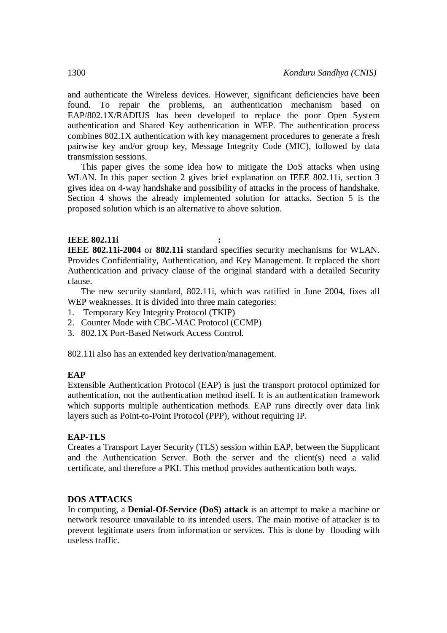and authenticate the Wireless devices. However, significant deficiencies have been found. To repair the problems, an authentication mechanism based on EAP/802.1X/RADIUS has been developed to replace the poor Open System authentication and Shared Key authentication in WEP. The authentication process combines 802.1X authentication with key management procedures to generate a fresh pairwise key and/or group key, Message Integrity Code (MIC), followed by data transmission sessions.

This paper gives the some idea how to mitigate the DoS attacks when using WLAN. In this paper section 2 gives brief explanation on IEEE 802.11i, section 3 gives idea on 4-way handshake and possibility of attacks in the process of handshake. Section 4 shows the already implemented solution for attacks. Section 5 is the proposed solution which is an alternative to above solution.

# **IEEE 802.11i :**

**IEEE 802.11i-2004** or **802.11i** standard specifies security mechanisms for WLAN. Provides Confidentiality, Authentication, and Key Management. It replaced the short Authentication and privacy clause of the original standard with a detailed Security clause.

The new security standard, 802.11i, which was ratified in June 2004, fixes all WEP weaknesses. It is divided into three main categories:

- 1. Temporary Key Integrity Protocol (TKIP)
- 2. Counter Mode with CBC-MAC Protocol (CCMP)
- 3. 802.1X Port-Based Network Access Control.

802.11i also has an extended key derivation/management.

# **EAP**

Extensible Authentication Protocol (EAP) is just the transport protocol optimized for authentication, not the authentication method itself. It is an authentication framework which supports multiple authentication methods. EAP runs directly over data link layers such as Point-to-Point Protocol (PPP), without requiring IP.

# **EAP-TLS**

Creates a Transport Layer Security (TLS) session within EAP, between the Supplicant and the Authentication Server. Both the server and the client(s) need a valid certificate, and therefore a PKI. This method provides authentication both ways.

# **DOS ATTACKS**

In computing, a **Denial-Of-Service (DoS) attack** is an attempt to make a machine or network resource unavailable to its intended users. The main motive of attacker is to prevent legitimate users from information or services. This is done by flooding with useless traffic.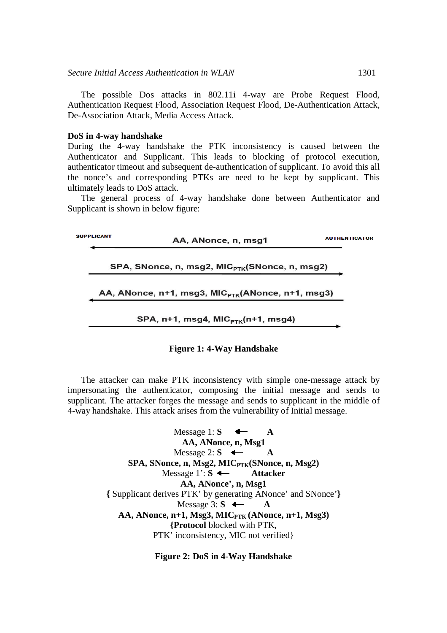The possible Dos attacks in 802.11i 4-way are Probe Request Flood, Authentication Request Flood, Association Request Flood, De-Authentication Attack, De-Association Attack, Media Access Attack.

#### **DoS in 4-way handshake**

During the 4-way handshake the PTK inconsistency is caused between the Authenticator and Supplicant. This leads to blocking of protocol execution, authenticator timeout and subsequent de-authentication of supplicant. To avoid this all the nonce's and corresponding PTKs are need to be kept by supplicant. This ultimately leads to DoS attack.

The general process of 4-way handshake done between Authenticator and Supplicant is shown in below figure:

| <b>SUPPLICANT</b> | AA, ANonce, n, msq1                                           | <b>AUTHENTICATOR</b> |
|-------------------|---------------------------------------------------------------|----------------------|
|                   | SPA, SNonce, n, msg2, MIC <sub>PTK</sub> (SNonce, n, msg2)    |                      |
|                   | AA, ANonce, n+1, msg3, MIC <sub>PTK</sub> (ANonce, n+1, msg3) |                      |
|                   | SPA, $n+1$ , msg4, MIC $_{PTK}(n+1, mgg4)$                    |                      |

# **Figure 1: 4-Way Handshake**

The attacker can make PTK inconsistency with simple one-message attack by impersonating the authenticator, composing the initial message and sends to supplicant. The attacker forges the message and sends to supplicant in the middle of 4-way handshake. This attack arises from the vulnerability of Initial message.

> Message 1:  $S \leftarrow A$ **AA, ANonce, n, Msg1** Message 2:  $S \leftarrow A$ **SPA, SNonce, n, Msg2, MICPTK(SNonce, n, Msg2)** Message 1': **S Attacker AA, ANonce', n, Msg1 {** Supplicant derives PTK' by generating ANonce' and SNonce'**}** Message  $3: S \leftarrow A$ **AA, ANonce, n+1, Msg3, MICPTK (ANonce, n+1, Msg3) {Protocol** blocked with PTK, PTK' inconsistency, MIC not verified}

> > **Figure 2: DoS in 4-Way Handshake**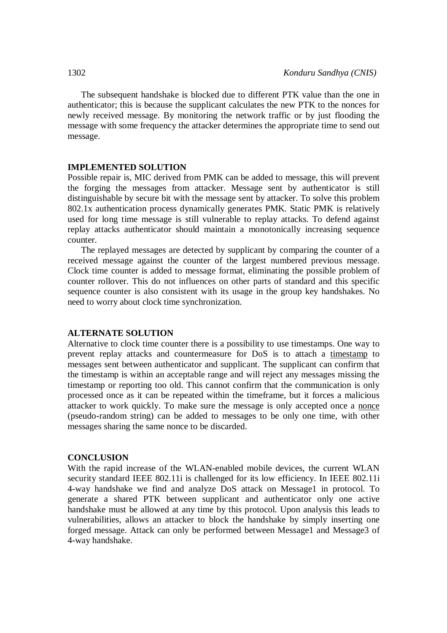The subsequent handshake is blocked due to different PTK value than the one in authenticator; this is because the supplicant calculates the new PTK to the nonces for newly received message. By monitoring the network traffic or by just flooding the message with some frequency the attacker determines the appropriate time to send out message.

#### **IMPLEMENTED SOLUTION**

Possible repair is, MIC derived from PMK can be added to message, this will prevent the forging the messages from attacker. Message sent by authenticator is still distinguishable by secure bit with the message sent by attacker. To solve this problem 802.1x authentication process dynamically generates PMK. Static PMK is relatively used for long time message is still vulnerable to replay attacks. To defend against replay attacks authenticator should maintain a monotonically increasing sequence counter.

The replayed messages are detected by supplicant by comparing the counter of a received message against the counter of the largest numbered previous message. Clock time counter is added to message format, eliminating the possible problem of counter rollover. This do not influences on other parts of standard and this specific sequence counter is also consistent with its usage in the group key handshakes. No need to worry about clock time synchronization.

# **ALTERNATE SOLUTION**

Alternative to clock time counter there is a possibility to use timestamps. One way to prevent replay attacks and countermeasure for DoS is to attach a timestamp to messages sent between authenticator and supplicant. The supplicant can confirm that the timestamp is within an acceptable range and will reject any messages missing the timestamp or reporting too old. This cannot confirm that the communication is only processed once as it can be repeated within the timeframe, but it forces a malicious attacker to work quickly. To make sure the message is only accepted once a nonce (pseudo-random string) can be added to messages to be only one time, with other messages sharing the same nonce to be discarded.

## **CONCLUSION**

With the rapid increase of the WLAN-enabled mobile devices, the current WLAN security standard IEEE 802.11i is challenged for its low efficiency. In IEEE 802.11i 4-way handshake we find and analyze DoS attack on Message1 in protocol. To generate a shared PTK between supplicant and authenticator only one active handshake must be allowed at any time by this protocol. Upon analysis this leads to vulnerabilities, allows an attacker to block the handshake by simply inserting one forged message. Attack can only be performed between Message1 and Message3 of 4-way handshake.